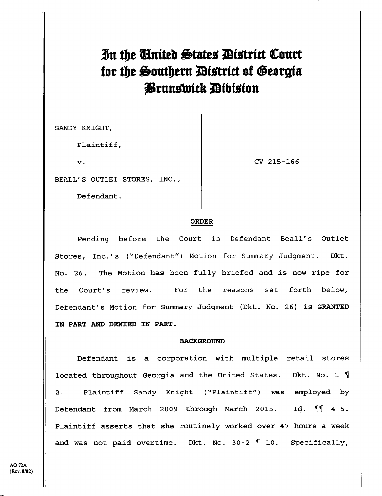# **In the Cinited States District Court** for the **Southern District of Georgia AirunobAck Mbfoton**

SANDY KNIGHT,

Plaintiff,

V.

CV 215-166

BEALL'S OUTLET STORES, INC.,

Defendant.

#### ORDER

Pending before the Court is Defendant Beall's Outlet Stores, Inc.'s ("Defendant") Motion for Summary Judgment. Dkt. No. 26. The Motion has been fully briefed and is now ripe for the Court's review. For the reasons set forth below, Defendant's Motion for Summary Judgment (Dkt. No. 26) **is GRANTED IN PART AND DENIED IN PART.** 

#### **BACKGROUND**

Defendant is a corporation with multiple retail stores located throughout Georgia and the United States. Dkt. No. 1 ¶ 2. Plaintiff Sandy Knight ("Plaintiff") was employed by Defendant from March 2009 through March 2015. Id.  $\P$  $4-5$ . Plaintiff asserts that she routinely worked over 47 hours a week and was not paid overtime. Dkt. No. 30-2 ¶ 10. Specifically,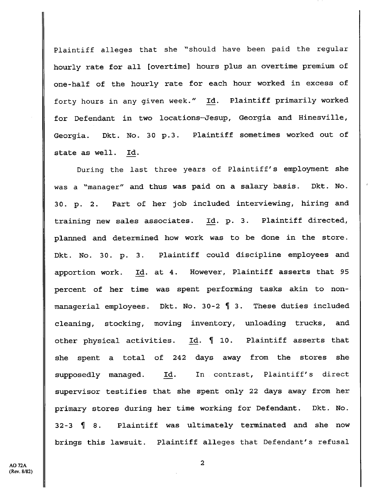Plaintiff alleges that she "should have been paid the regular hourly rate for all [overtime] hours plus an overtime premium of one-half of the hourly rate for each hour worked in excess of forty hours in any given week." Id. Plaintiff primarily worked for Defendant in two locations—Jesup, Georgia and Hinesville, Georgia. Dkt. No. 30 p.3. Plaintiff sometimes worked out of state as well. Id.

During the last three years of Plaintiff's employment she was a "manager" and thus was paid on a salary basis. Dkt. No. 30. p. 2. Part of her job included interviewing, hiring and training new sales associates. Id. p. 3. Plaintiff directed, planned and determined how work was to be done in the store. Dkt. No. 30. p. 3. Plaintiff could discipline employees and apportion work. Id. at 4. However, Plaintiff asserts that 95 percent of her time was spent performing tasks akin to nonmanagerial employees. Dkt. No. 30-2 ¶ 3. These duties included cleaning, stocking, moving inventory, unloading trucks, and other physical activities. Id. ¶ 10. Plaintiff asserts that she spent a total of 242 days away from the stores she supposedly managed. Id. In contrast, Plaintiff's direct supervisor testifies that she spent only 22 days away from her primary stores during her time working for Defendant. Dkt. No. 32-3 ¶ 8. Plaintiff was ultimately terminated and she now brings this lawsuit. Plaintiff alleges that Defendant's refusal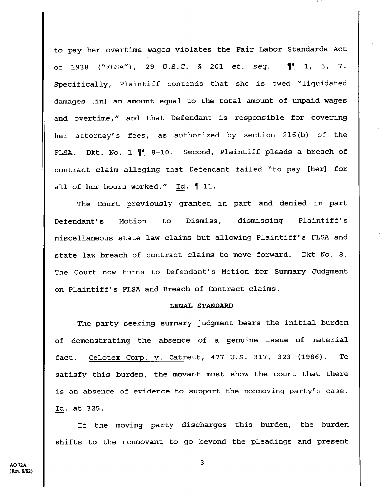to pay her overtime wages violates the Fair Labor Standards Act of 1938 ("FLSA"), 29 U.S.C. § 201 et. *seq. ¶11* 1, 3, 7. Specifically, Plaintiff contends that she is owed "liquidated damages [in] an amount equal to the total amount of unpaid wages and overtime," and that Defendant is responsible for covering her attorney's fees, as authorized by section 216(b) of the FLSA. Dkt. No. 1 *If* 8-10. Second, Plaintiff pleads a breach of contract claim alleging that Defendant failed "to pay [her] for all of her hours worked." Id. ¶ 11.

The Court previously granted in part and denied in part Defendant's Motion to **Dismiss, dismissing Plaintiff's**  miscellaneous state law claims but allowing Plaintiff's FLSA and state law breach of contract claims to move forward. Dkt No. 8. The Court now turns to Defendant's Motion for Summary Judgment on Plaintiff's FLSA and Breach of Contract claims.

## **LEGAL STANDARD**

The party seeking summary judgment bears the initial burden of demonstrating the absence of a genuine issue of material fact. Celotex Corp. v. Catrett, 477 U.S. 317, 323 (1986). To satisfy this burden, the movant must show the court that there is an absence of evidence to support the nonmoving party's case. 4. at 325.

If the moving party discharges this burden, the burden shifts to the nonmovant to go beyond the pleadings and present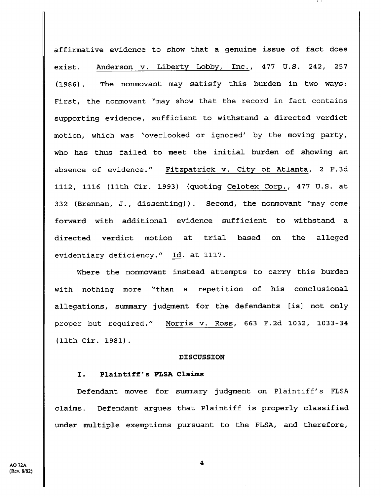affirmative evidence to show that a genuine issue of fact does exist. Anderson v. Liberty Lobby, Inc., 477 U.S. 242, 257 (1986). The nonmovant may satisfy this burden in two ways: First, the nonmovant "may show that the record in fact contains supporting evidence, sufficient to withstand a directed verdict motion, which was 'overlooked or ignored' by the moving party, who has thus failed to meet the initial burden of showing an absence of evidence." Fitzpatrick v. City of Atlanta, 2 F. 3d 1112, 1116 (11th Cir. 1993) (quoting Celotex Corp., 477 U.S. at 332 (Brennan, J., dissenting)). Second, the nonmovant "may come forward with additional evidence sufficient to withstand a directed verdict motion at trial based on the alleged evidentiary deficiency." Id. at 1117.

Where the nonmovant instead attempts to carry this burden with nothing more "than a repetition of his conclusional allegations, summary judgment for the defendants **[is]** not only proper but required." Morris v. Ross, 663 F.2d 1032, 1033-34 (11th Cir. 1981).

#### **DISCUSSION**

### **I. Plaintiff's FLSA Claims**

Defendant moves for summary judgment on Plaintiff's FLSA claims. Defendant argues that Plaintiff is properly classified under multiple exemptions pursuant to the FLSA, and therefore,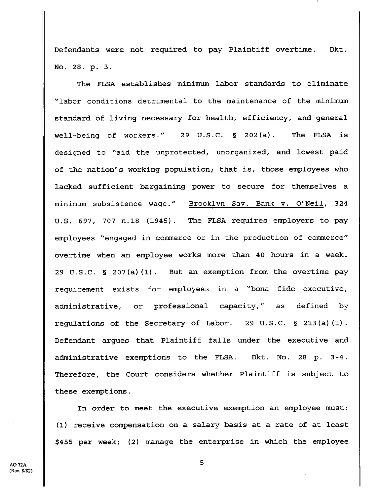Defendants. were not required to pay Plaintiff overtime. Dkt. No. 28. p. 3.

The FLSA establishes minimum labor standards to eliminate "labor conditions detrimental to the maintenance of the minimum standard of living necessary for health, efficiency, and general well-being of workers." 29 U.S.C. § 202(a). The FLSA is designed to "aid the unprotected, unorganized, and lowest paid of the nation's working population; that **is,** those employees who lacked sufficient bargaining power to secure for themselves a minimum subsistence wage." Brooklyn Say. Bank v. O'Neil, 324 U.S. 697, 707 n.18 (1945). The FLSA requires employers to pay employees "engaged in commerce or in the production of commerce" overtime when an employee works more than 40 hours in a week. 29 U.S.C. § 207(a) (1). But an exemption from the overtime pay requirement exists for employees in a "bona fide executive, administrative, or professional capacity," as defined by regulations of the Secretary of Labor. 29 U.S.C. § 213(a) (1). Defendant argues that Plaintiff falls under the executive and administrative exemptions to the FLSA. Dkt. No. 28 p. 3-4. Therefore, the Court considers whether Plaintiff is subject to these exemptions.

In order to meet the executive exemption an employee must: (1) receive compensation on a salary basis at a rate of at least \$455 per week; (2) manage the enterprise in which the employee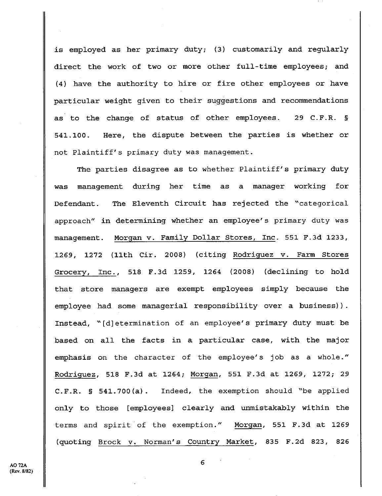is employed as her primary duty; (3) customarily and regularly direct the work of two or more other full-time employees; and (4) have the authority to hire or fire other employees or have particular weight given to their suggestions and recommendations as to the change of status of other employees. 29 C.F.R. § 541.100. Here, the dispute between the parties is whether or not Plaintiff's primary duty was management.

The parties disagree as to whether Plaintiff's primary duty was management during her time as a manager working for Defendant. The Eleventh Circuit has rejected the "categorical approach" in determining whether an employee's primary duty was management. Morgan v. Family Dollar Stores, Inc. 551 F.3d 1233, 1269, 1272 (11th Cir. 2008) (citing Rodriguez v. Farm Stores Grocery, Inc., 518 F.3d 1259, 1264 (2008) (declining to hold that store managers are exempt employees simply because the employee had some managerial responsibility over a business)). Instead, "[d]eterminátion of an employee's primary duty must be based on all the facts in a particular case, with the major emphasis on the character of the employee's job as a whole." Rodriguez, 518 F.3d at 1264; Morgan, 551 F.3d at 1269, 1272; 29 C.F.R. § 541.700(a). Indeed, the exemption should "be applied only to those [employees] clearly and unmistakably within the terms and spirit of the exemption." Morgan, 551 F.3d at 1269 (quoting Brock v. Norman's Country Market, 835 F.2d 823, 826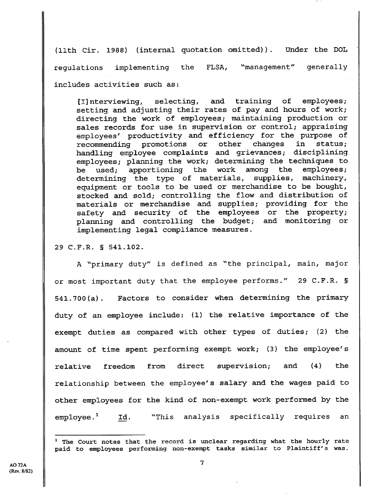(11th Cir. 1988) (internal quotation omitted)). Under the DOL regulations implementing the FLSA, "management" generally includes activities such as:

[I]nterviewing, selecting, and training of employees; setting and adjusting their rates of pay and hours of work; directing the work of employees; maintaining production or sales records for use in supervision or control; appraising employees' productivity and efficiency for the purpose of recommending promotions or other changes in status; handling employee complaints and grievances; disciplining employees; planning the work; determining the techniques to be used; apportioning the work among the employees; determining the type of materials, supplies, machinery, equipment or tools to be used or merchandise to be bought, stocked and sold; controlling the flow and distribution of materials or merchandise and supplies; providing for the safety and security of the employees or the property; planning and controlling the budget; and monitoring or implementing legal compliance measures.

29 C.F.R. § 541.102.

A "primary duty" is defined as "the principal, main, major or most important duty that the employee performs." 29 C.F.R. § 541.700(a). Factors to consider when determining the primary duty of an employee include: (1) the relative importance of the exempt duties as compared with other types of duties; (2) the amount of time spent performing exempt work; (3) the employee's relative freedom from direct supervision; and (4) the relationship between the employee's salary and the wages paid to other employees for the kind of non-exempt work performed by the employee.' Id. "This analysis specifically requires an

 $1$  The Court notes that the record is unclear regarding what the hourly rate paid to employees performing non-exempt tasks similar to Plaintiff's was.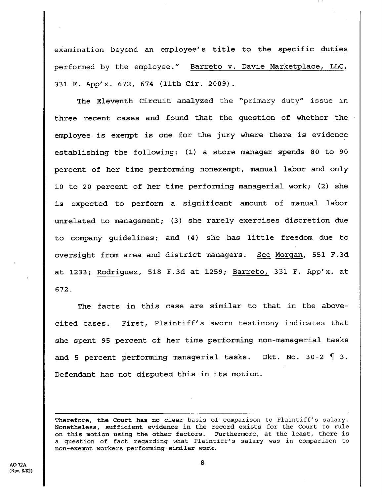examination beyond an employee's title to the specific duties performed by the employee." Barreto v. Davie Marketplace, LLC, 331 F. App'x. 672, 674 (11th Cir. 2009)

The Eleventh Circuit analyzed the "primary duty" issue in three recent cases and found that the question of whether the employee is exempt is one for the jury where there is evidence establishing the following: (1) a store manager spends 80 to 90 percent of her time performing nonexempt, manual labor and only 10 to 20 percent of her time performing managerial work; (2) she is expected to perform a significant amount of manual labor unrelated to management; (3) she rarely exercises discretion due to company guidelines; and (4) she has little freedom due to oversight from area and district managers. See Morgan, 551 F.3d at 1233; Rodriguez, 518 F.3d at 1259; Barreto, 331 F. App'x. at 672.

The facts in this case are similar to that in the abovecited cases. First, Plaintiff's sworn testimony indicates that she spent 95 percent of her time performing non-managerial tasks and 5 percent performing managerial tasks. Dkt. No. 30-2 ¶ 3. Defendant has not disputed this in its motion.

Therefore, the Court has no clear basis of comparison to Plaintiff's salary. Nonetheless, sufficient evidence in the record exists for the court to rule on this motion using the other factors. Furthermore, at the least, there is a question of fact regarding what Plaintiff's salary was in comparison to non-exempt workers performing similar work.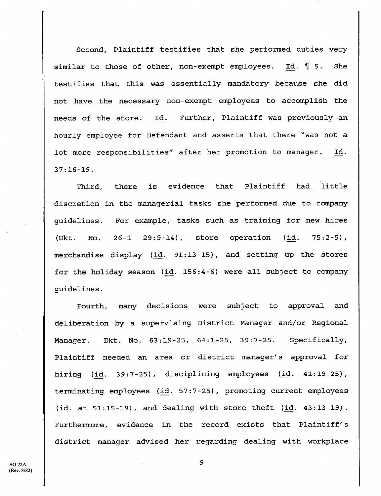Second, Plaintiff testifies that she performed duties very similar to those of other, non-exempt employees. Id. 1 5. She testifies that this was essentially mandatory because she did not have the necessary non-exempt employees to accomplish the needs of the store. Id. Further, Plaintiff was previously an hourly employee for Defendant and asserts that there "was not a lot more responsibilities" after her promotion to manager. Id. 37:16-19.

Third, there is evidence that Plaintiff had little discretion in the managerial tasks she performed due to company guidelines. For example, tasks such as training for new **hires**  (Dkt. No. 26-1 29:9-14), store operation (Id. 75:2-5), merchandise display (Id. 91:13-15), and setting up the stores for the holiday season (id. 156:4-6) were all subject to company guidelines.

Fourth, many decisions were subject to approval and deliberation by a supervising District Manager and/or Regional Manager. Dkt. No. 63:19-25, 64:1-25, 39:7-25. Specifically, Plaintiff needed an area or district manager's approval for hiring (Id. 39:7-25), **disciplining employees (id.** 41:19-25), terminating employees (id. 57:7-25), promoting current employees (Id. at 51:15-19), and dealing with store theft (id. 43:13-19). Furthermore, evidence in the record exists that Plaintiff's district manager advised her regarding dealing with workplace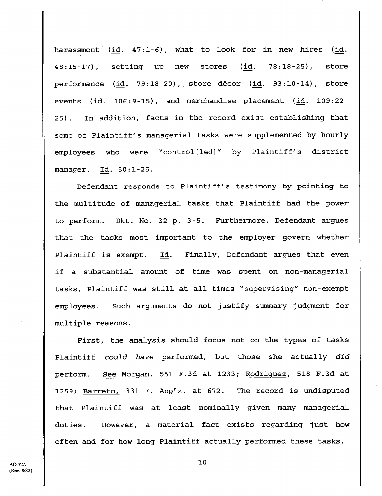harassment (id. 47:1-6), what to look for in new hires (id. 48:15-17), setting up new stores (id. 78:18-25), store performance (id. 79:18-20), store décor (id. 93:10-14), store events (id. 106:9-15), and merchandise placement (id. 109:22- 25). In addition, facts in the record exist establishing that some of Plaintiff's managerial tasks were supplemented by hourly employees who were "control[led]" by Plaintiff's district manager. Id. 50:1-25.

Defendant responds to Plaintiff's testimony by pointing to the multitude of managerial tasks that Plaintiff had the power to perform. Dkt. No. 32 p. 3-5. Furthermore, Defendant argues that the tasks most important to the employer govern whether Plaintiff is exempt. Id. Finally, Defendant argues that even if a substantial amount of time was spent on non-managerial tasks, Plaintiff was still at all times "supervising" non-exempt employees. Such arguments do not justify summary judgment for multiple reasons.

First, the analysis should focus not on the types of tasks Plaintiff *could have* performed, but those she actually *did*  perform. See Morgan, 551 F.3d at 1233; Rodriguez, 518 F.3d at 1259; Barreto, 331 F. App'x. at 672. The record is undisputed that Plaintiff was at least nominally given many managerial duties. However, a material fact exists regarding just how often and for how long Plaintiff actually performed these tasks.

AO 72A 10 (Rev. 8/82) **11**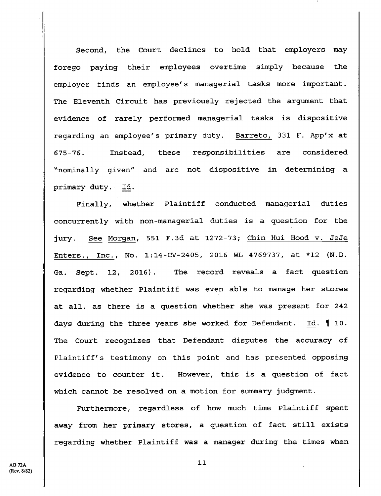Second, the Court declines to hold that employers may forego paying their employees overtime simply because the employer finds an employee's managerial tasks more important. The Eleventh Circuit has previously rejected the argument that evidence of rarely performed managerial tasks is dispositive regarding an employee's primary duty. Barreto, 331 F. App'x at 675-76. Instead, these responsibilities are considered "nominally given" and are not dispositive in determining a primary duty. Id.

Finally, whether Plaintiff conducted managerial duties concurrently with non-managerial duties is **a** question for the jury. See Morgan, 551 F.3d at 1272-73; Chin Hui Hood v. JeJe Enters., Inc., No. 1:14-CV-2405, 2016 WL 4769737, at \*12 (N.D. Ga. Sept. 12, 2016). The record reveals a fact question regarding whether Plaintiff was even able to manage her stores at all, as there is a question whether she was present for 242 days during the three years she worked for Defendant. Id. ¶ 10. The Court recognizes that Defendant disputes the accuracy of Plaintiff's testimony on this point and has presented opposing evidence to counter it. However, this is a question of fact which cannot be resolved on a motion for summary judgment.

Furthermore, regardless of how much time Plaintiff spent away from her primary stores, a question of fact still exists regarding whether Plaintiff was a manager during the times when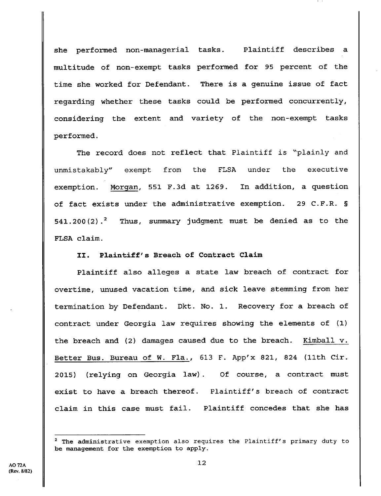she performed non-managerial tasks. Plaintiff describes a multitude of non-exempt tasks performed for 95 percent of the time she worked for Defendant. There is a genuine issue of fact regarding whether these tasks could be performed concurrently, considering the extent and variety of the non-exempt tasks performed.

The record does not reflect that Plaintiff is "plainly and unmistakably" exempt from the FLSA under the executive exemption. Morgan, 551 F.3d at 1269. In addition, a question of fact exists under the administrative exemption. 29 C.F.R. § 541.200(2).<sup>2</sup> Thus, summary judgment must be denied as to the FLSA claim.

# **II. Plaintiff's** Breach of Contract Claim

Plaintiff also alleges a state law breach of contract for overtime, unused vacation time, and sick leave stemming from her termination by Defendant. Dkt. No. 1. Recovery for a breach of contract under Georgia law requires showing the elements of (1) the breach and (2) damages caused due to the breach. Kimball v. Better Bus. Bureau of W. Fla., 613 F. App'x 821, 824 (11th Cir. 2015) (relying on Georgia law). Of course, a contract must **exist** to have a breach thereof. Plaintiff's breach of contract claim in this case must fail. Plaintiff concedes that she has

The administrative exemption also requires the Plaintiff's primary duty to be management for the exemption to apply.